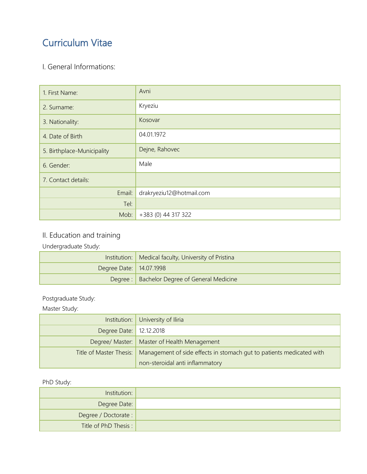# Curriculum Vitae

### I. General Informations:

| 1. First Name:             | Avni                     |
|----------------------------|--------------------------|
| 2. Surname:                | Kryeziu                  |
| 3. Nationality:            | Kosovar                  |
| 4. Date of Birth           | 04.01.1972               |
| 5. Birthplace-Municipality | Dejne, Rahovec           |
| 6. Gender:                 | Male                     |
| 7. Contact details:        |                          |
| Email:                     | drakryeziu12@hotmail.com |
| Tel:                       |                          |
| Mob:                       | +383 (0) 44 317 322      |

### II. Education and training

Undergraduate Study:

|                         | Institution:   Medical faculty, University of Pristina |  |
|-------------------------|--------------------------------------------------------|--|
| Degree Date: 14.07.1998 |                                                        |  |
|                         | Degree :   Bachelor Degree of General Medicine         |  |

#### Postgraduate Study:

Master Study:

|                           | Institution: University of Iliria                                                              |
|---------------------------|------------------------------------------------------------------------------------------------|
| Degree Date:   12.12.2018 |                                                                                                |
|                           | Degree/ Master:   Master of Health Menagement                                                  |
|                           | Title of Master Thesis:   Management of side effects in stomach gut to patients medicated with |
|                           | non-steroidal anti inflammatory                                                                |

#### PhD Study:

| Institution:          |  |
|-----------------------|--|
| Degree Date:          |  |
| Degree / Doctorate :  |  |
| Title of PhD Thesis : |  |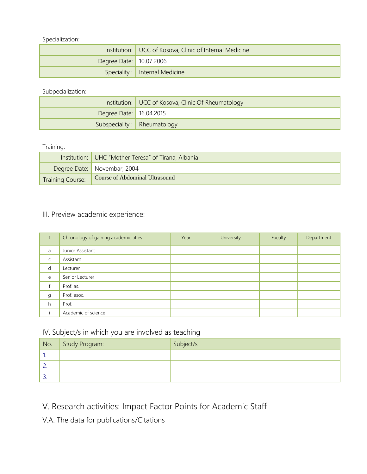Specialization:

| Institution:   UCC of Kosova, Clinic of Internal Medicine |                                  |
|-----------------------------------------------------------|----------------------------------|
| Degree Date: 10.07.2006                                   |                                  |
|                                                           | Speciality :   Internal Medicine |

Subpecialization:

| Institution:   UCC of Kosova, Clinic Of Rheumatology |                              |
|------------------------------------------------------|------------------------------|
| Degree Date:   16.04.2015                            |                              |
|                                                      | Subspeciality : Rheumatology |

#### Training:

|                         | Institution: UHC "Mother Teresa" of Tirana, Albania |
|-------------------------|-----------------------------------------------------|
|                         | Degree Date: Novembar, 2004                         |
| <b>Training Course:</b> | Course of Abdominal Ultrasound                      |

#### III. Preview academic experience:

|             | Chronology of gaining academic titles | Year | University | Faculty | Department |
|-------------|---------------------------------------|------|------------|---------|------------|
| a           | Junior Assistant                      |      |            |         |            |
| $\mathsf C$ | Assistant                             |      |            |         |            |
| d           | Lecturer                              |      |            |         |            |
| e           | Senior Lecturer                       |      |            |         |            |
|             | Prof. as.                             |      |            |         |            |
| g           | Prof. asoc.                           |      |            |         |            |
| h           | Prof.                                 |      |            |         |            |
|             | Academic of science                   |      |            |         |            |

### IV. Subject/s in which you are involved as teaching

| No.      | Study Program: | Subject/s |
|----------|----------------|-----------|
|          |                |           |
|          |                |           |
| <u>.</u> |                |           |

# V. Research activities: Impact Factor Points for Academic Staff

V.A. The data for publications/Citations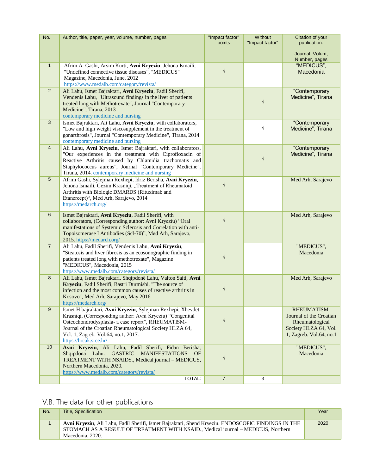| No.            | Author, title, paper, year, volume, number, pages                                                                                                                                                                                                                                                            | "Impact factor"<br>points | Without<br>"Impact factor" | Citation of your<br>publication:<br>Journal, Volum,                                                           |
|----------------|--------------------------------------------------------------------------------------------------------------------------------------------------------------------------------------------------------------------------------------------------------------------------------------------------------------|---------------------------|----------------------------|---------------------------------------------------------------------------------------------------------------|
|                |                                                                                                                                                                                                                                                                                                              |                           |                            | Number, pages                                                                                                 |
| $\mathbf{1}$   | Afrim A. Gashi, Arsim Kurti, Avni Kryeziu, Jehona Ismaili,<br>"Undefined connective tissue diseases", "MEDICUS"<br>Magazine, Macedonia, June, 2012<br>https://www.medalb.com/category/revista/                                                                                                               | $\sqrt{2}$                |                            | "MEDICUS",<br>Macedonia                                                                                       |
| 2              | Ali Lahu, Ismet Bajraktari, Avni Kryeziu, Fadil Sherifi,<br>Vendenis Lahu, "Ultrasound findings in the liver of patients<br>treated long with Methotrexate", Journal "Contemporary<br>Medicine", Tirana, 2013<br>contemporary medicine and nursing                                                           |                           | $\sqrt{ }$                 | "Contemporary<br>Medicine", Tirana                                                                            |
| 3              | Ismet Bajraktari, Ali Lahu, Avni Kryeziu, with collaborators,<br>"Low and high weight viscosupplement in the treatment of<br>gonarthrosis", Journal "Contemporary Medicine", Tirana, 2014<br>contemporary medicine and nursing                                                                               |                           | $\sqrt{ }$                 | "Contemporary<br>Medicine", Tirana                                                                            |
| $\overline{4}$ | Ali Lahu, Avni Kryeziu, Ismet Bajraktari, with collaborators,<br>"Our experiences in the treatment with Ciprofloxacin of<br>Reactive Arthritis caused by Chlamidia trachomatis and<br>Staphylococcus aureus", Journal "Contemporary Medicine",<br>Tirana, 2014. contemporary medicine and nursing            |                           | $\sqrt{ }$                 | "Contemporary<br>Medicine", Tirana                                                                            |
| 5              | Afrim Gashi, Sylejman Rexhepi, Idriz Berisha, Avni Kryeziu,<br>Jehona Ismaili, Gezim Krasniqi, "Treatment of Rheumatoid<br>Arthritis with Biologic DMARDS (Rituximab and<br>Etanercept)", Med Arh, Sarajevo, 2014<br>https://medarch.org/                                                                    | $\sqrt{2}$                |                            | Med Arh, Sarajevo                                                                                             |
| 6              | Ismet Bajraktari, Avni Kryeziu, Fadil Sherifi, with<br>collaborators, (Corresponding author: Avni Kryeziu) "Oral<br>manifestations of Systemic Sclerosis and Correlation with anti-<br>Topoisomerase I Antibodies (Scl-70)", Med Arh, Sarajevo,<br>2015. https://medarch.org/                                | $\sqrt{2}$                |                            | Med Arh, Sarajevo                                                                                             |
| $\overline{7}$ | Ali Lahu, Fadil Sherifi, Vendenis Lahu, Avni Kryeziu,<br>"Steatosis and liver fibrosis as an ecosonographic finding in<br>patients treated long with methotrexate", Magazine<br>"MEDICUS", Macedonia, 2015<br>https://www.medalb.com/category/revista/                                                       | $\sqrt{}$                 |                            | "MEDICUS",<br>Macedonia                                                                                       |
| 8              | Ali Lahu, Ismet Bajraktari, Shqipdonë Lahu, Valton Saiti, Avni<br>Kryeziu, Fadil Sherifi, Bastri Durmishi, "The source of<br>infection and the most common causes of reactive arthritis in<br>Kosovo", Med Arh, Sarajevo, May 2016<br>https://medarch.org/                                                   | $\sqrt{}$                 |                            | Med Arh, Sarajevo                                                                                             |
| 9              | Ismet H bajraktari, Avni Kryeziu, Sylejman Rexhepi, Xhevdet<br>Krasniqi, (Corresponding author: Avni Kryeziu) "Congenital<br>Osteochondrodysplasia- a case report", RHEUMATISM-<br>Journal of the Croatian Rheumatological Society HLZA 64,<br>Vol. 1, Zagreb. Vol.64, no.1, 2017.<br>https://hrcak.srce.hr/ | $\sqrt{}$                 |                            | RHEUMATISM-<br>Journal of the Croatian<br>Rheumatological<br>Society HLZA 64, Vol.<br>1, Zagreb. Vol.64, no.1 |
| 10             | Avni Kryeziu, Ali Lahu, Fadil Sherifi, Fidan Berisha,<br>Shqipdona Lahu.<br><b>GASTRIC</b><br><b>MANIFESTATIONS</b><br><b>OF</b><br>TREATMENT WITH NSAIDS., Medical journal - MEDICUS,<br>Northern Macedonia, 2020.<br>https://www.medalb.com/category/revista/                                              | $\sqrt{}$                 |                            | "MEDICUS",<br>Macedonia                                                                                       |
|                | TOTAL:                                                                                                                                                                                                                                                                                                       | $\overline{7}$            | 3                          |                                                                                                               |

# V.B. The data for other publications

| No. | <b>Title, Specification</b>                                                                                                                                                                                 | Year |
|-----|-------------------------------------------------------------------------------------------------------------------------------------------------------------------------------------------------------------|------|
|     | Avni Kryeziu, Ali Lahu, Fadil Sherifi, Ismet Bajraktari, Shend Kryeziu. ENDOSCOPIC FINDINGS IN THE<br>STOMACH AS A RESULT OF TREATMENT WITH NSAID., Medical journal – MEDICUS, Northern<br>Macedonia, 2020. | 2020 |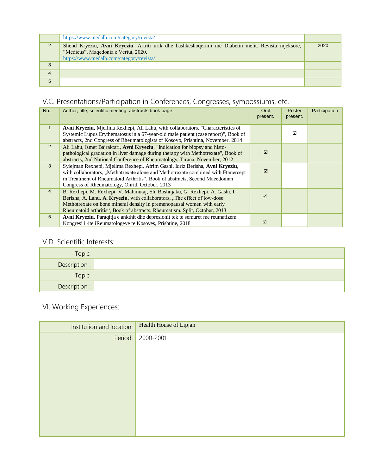|   | https://www.medalb.com/category/revista/                                                                                                                                               |      |
|---|----------------------------------------------------------------------------------------------------------------------------------------------------------------------------------------|------|
|   | Shend Kryeziu, Avni Kryeziu. Artriti urik dhe bashkeshoqerimi me Diabetin melit. Revista mjeksore,<br>"Medicus", Maqedonia e Veriut, 2020.<br>https://www.medalb.com/category/revista/ | 2020 |
| 3 |                                                                                                                                                                                        |      |
| 4 |                                                                                                                                                                                        |      |
| 5 |                                                                                                                                                                                        |      |

### V.C. Presentations/Participation in Conferences, Congresses, sympossiums, etc.

| No.            | Author, title, scientific meeting, abstracts book page                                                                                                                                                                                                                                                            | Oral<br>present. | Poster<br>present. | Participation |
|----------------|-------------------------------------------------------------------------------------------------------------------------------------------------------------------------------------------------------------------------------------------------------------------------------------------------------------------|------------------|--------------------|---------------|
| $\mathbf{1}$   | Avni Kryeziu, Mjellma Rexhepi, Ali Lahu, with collaborators, "Characteristics of<br>Systemic Lupus Erythematosus in a 67-year-old male patient (case report)", Book of<br>abstracts, 2nd Congress of Rheumatologists of Kosovo, Prishtina, November, 2014                                                         |                  | ⊠                  |               |
| 2              | Ali Lahu, Ismet Bajraktari, Avni Kryeziu, "Indication for biopsy and histo-<br>pathological gradation in liver damage during therapy with Methotrexate", Book of<br>abstracts, 2nd National Conference of Rheumatology, Tirana, November, 2012                                                                    | ⊠                |                    |               |
| $\mathbf{3}$   | Sylejman Rexhepi, Mjellma Rexhepi, Afrim Gashi, Idriz Berisha, Avni Kryeziu,<br>with collaborators, "Methotrexate alone and Methotrexate combined with Etanercept<br>in Treatment of Rheumatoid Arthritis", Book of abstracts, Second Macedonian<br>Congress of Rheumatology, Ohrid, October, 2013                | ⊠                |                    |               |
| $\overline{4}$ | B. Rexhepi, M. Rexhepi, V. Mahmutaj, Sh. Boshnjaku, G. Rexhepi, A. Gashi, I.<br>Berisha, A. Lahu, A. Kryeziu, with collaborators, "The effect of low-dose<br>Methotrexate on bone mineral density in premenopausal women with early<br>Rheumatoid arthritis", Book of abstracts, Rheumatism, Split, October, 2013 | ⊠                |                    |               |
| 5              | Avni Kryeziu. Paraqitja e ankthit dhe depresionit tek te semuret me reumatizem.<br>Kongresi i 4te iReumatologeve te Kosoves, Prishtine, 2018                                                                                                                                                                      | ☑                |                    |               |

#### V.D. Scientific Interests:

| Topic:        |  |
|---------------|--|
| Description : |  |
| Topic:        |  |
| Description : |  |

# VI. Working Experiences:

| Institution and location: | Health House of Lipjan |
|---------------------------|------------------------|
| Period:                   | 2000-2001              |
|                           |                        |
|                           |                        |
|                           |                        |
|                           |                        |
|                           |                        |
|                           |                        |
|                           |                        |
|                           |                        |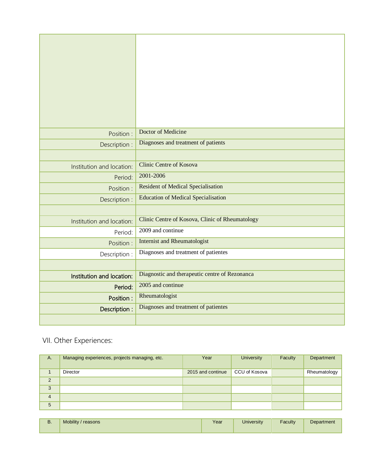|                           | Doctor of Medicine                              |
|---------------------------|-------------------------------------------------|
| Position:                 |                                                 |
| Description :             | Diagnoses and treatment of patients             |
|                           |                                                 |
| Institution and location: | <b>Clinic Centre of Kosova</b>                  |
| Period:                   | 2001-2006                                       |
| Position:                 | <b>Resident of Medical Specialisation</b>       |
| Description :             | <b>Education of Medical Specialisation</b>      |
|                           |                                                 |
| Institution and location: | Clinic Centre of Kosova, Clinic of Rheumatology |
| Period:                   | 2009 and continue                               |
| Position :                | <b>Internist and Rheumatologist</b>             |
| Description :             | Diagnoses and treatment of patientes            |
|                           |                                                 |
| Institution and location: | Diagnostic and therapeutic centre of Rezonanca  |
| Period:                   | 2005 and continue                               |
| Position:                 | Rheumatologist                                  |
| Description:              | Diagnoses and treatment of patientes            |
|                           |                                                 |

# VII. Other Experiences:

| A.             | Managing experiences, projects managing, etc. | Year              | <b>University</b> | Faculty | Department   |
|----------------|-----------------------------------------------|-------------------|-------------------|---------|--------------|
|                | Director                                      | 2015 and continue | CCU of Kosova     |         | Rheumatology |
| $\overline{2}$ |                                               |                   |                   |         |              |
| 3              |                                               |                   |                   |         |              |
| $\overline{4}$ |                                               |                   |                   |         |              |
| 5              |                                               |                   |                   |         |              |

| -- | <b>Mobility</b><br>reasons | $\sqrt{2}$<br>ι σαι | Jniversity | -<br>Facultv | Department |
|----|----------------------------|---------------------|------------|--------------|------------|
|    |                            |                     |            |              |            |